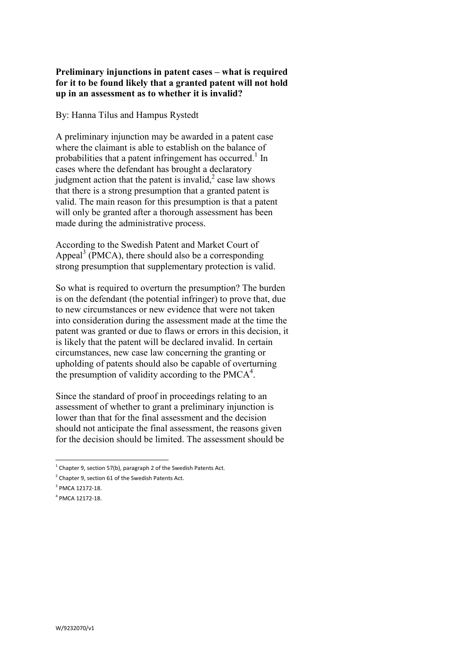## **Preliminary injunctions in patent cases – what is required for it to be found likely that a granted patent will not hold up in an assessment as to whether it is invalid?**

By: Hanna Tilus and Hampus Rystedt

A preliminary injunction may be awarded in a patent case where the claimant is able to establish on the balance of probabilities that a patent infringement has occurred.<sup>1</sup> In cases where the defendant has brought a declaratory judgment action that the patent is invalid, $<sup>2</sup>$  case law shows</sup> that there is a strong presumption that a granted patent is valid. The main reason for this presumption is that a patent will only be granted after a thorough assessment has been made during the administrative process.

According to the Swedish Patent and Market Court of Appeal<sup>3</sup> (PMCA), there should also be a corresponding strong presumption that supplementary protection is valid.

So what is required to overturn the presumption? The burden is on the defendant (the potential infringer) to prove that, due to new circumstances or new evidence that were not taken into consideration during the assessment made at the time the patent was granted or due to flaws or errors in this decision, it is likely that the patent will be declared invalid. In certain circumstances, new case law concerning the granting or upholding of patents should also be capable of overturning the presumption of validity according to the PMCA $<sup>4</sup>$ .</sup>

Since the standard of proof in proceedings relating to an assessment of whether to grant a preliminary injunction is lower than that for the final assessment and the decision should not anticipate the final assessment, the reasons given for the decision should be limited. The assessment should be

 $\overline{a}$  $^{1}$  Chapter 9, section 57(b), paragraph 2 of the Swedish Patents Act.

 $2$  Chapter 9, section 61 of the Swedish Patents Act.

 $3$  PMCA 12172-18.

<sup>4</sup> PMCA 12172-18.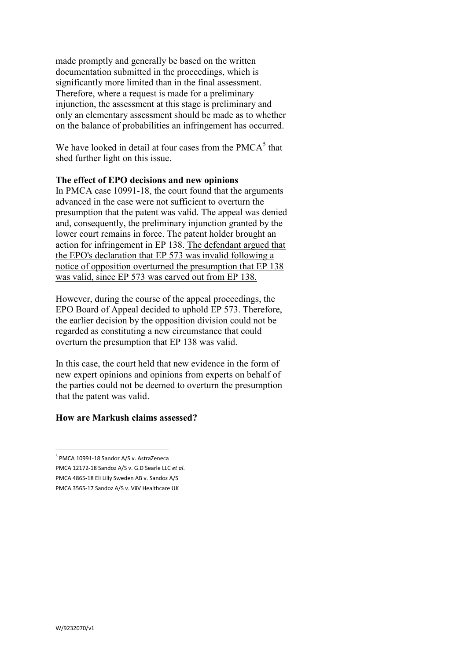made promptly and generally be based on the written documentation submitted in the proceedings, which is significantly more limited than in the final assessment. Therefore, where a request is made for a preliminary injunction, the assessment at this stage is preliminary and only an elementary assessment should be made as to whether on the balance of probabilities an infringement has occurred.

We have looked in detail at four cases from the  $PMCA<sup>5</sup>$  that shed further light on this issue.

#### **The effect of EPO decisions and new opinions**

In PMCA case 10991-18, the court found that the arguments advanced in the case were not sufficient to overturn the presumption that the patent was valid. The appeal was denied and, consequently, the preliminary injunction granted by the lower court remains in force. The patent holder brought an action for infringement in EP 138. The defendant argued that the EPO's declaration that EP 573 was invalid following a notice of opposition overturned the presumption that EP 138 was valid, since EP 573 was carved out from EP 138.

However, during the course of the appeal proceedings, the EPO Board of Appeal decided to uphold EP 573. Therefore, the earlier decision by the opposition division could not be regarded as constituting a new circumstance that could overturn the presumption that EP 138 was valid.

In this case, the court held that new evidence in the form of new expert opinions and opinions from experts on behalf of the parties could not be deemed to overturn the presumption that the patent was valid.

# **How are Markush claims assessed?**

 $\overline{a}$ <sup>5</sup> PMCA 10991-18 Sandoz A/S v. AstraZeneca PMCA 12172-18 Sandoz A/S v. G.D Searle LLC *et al*. PMCA 4865-18 Eli Lilly Sweden AB v. Sandoz A/S PMCA 3565-17 Sandoz A/S v. ViiV Healthcare UK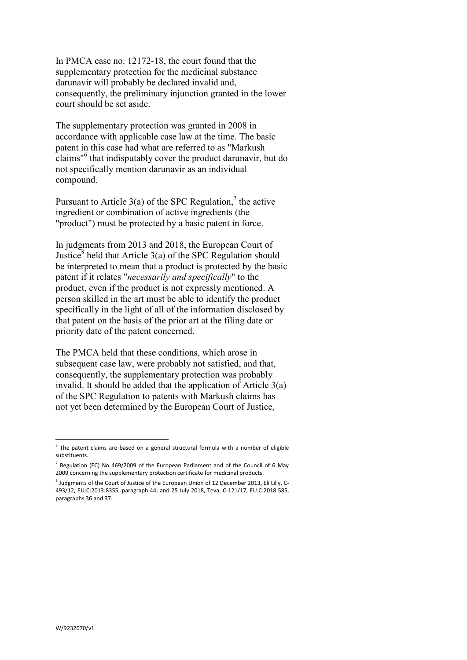In PMCA case no. 12172-18, the court found that the supplementary protection for the medicinal substance darunavir will probably be declared invalid and, consequently, the preliminary injunction granted in the lower court should be set aside.

The supplementary protection was granted in 2008 in accordance with applicable case law at the time. The basic patent in this case had what are referred to as "Markush claims"<sup>6</sup> that indisputably cover the product darunavir, but do not specifically mention darunavir as an individual compound.

Pursuant to Article 3(a) of the SPC Regulation,<sup>7</sup> the active ingredient or combination of active ingredients (the "product") must be protected by a basic patent in force.

In judgments from 2013 and 2018, the European Court of Justice<sup>8</sup> held that Article  $3(a)$  of the SPC Regulation should be interpreted to mean that a product is protected by the basic patent if it relates "*necessarily and specifically*" to the product, even if the product is not expressly mentioned. A person skilled in the art must be able to identify the product specifically in the light of all of the information disclosed by that patent on the basis of the prior art at the filing date or priority date of the patent concerned.

The PMCA held that these conditions, which arose in subsequent case law, were probably not satisfied, and that, consequently, the supplementary protection was probably invalid. It should be added that the application of Article 3(a) of the SPC Regulation to patents with Markush claims has not yet been determined by the European Court of Justice,

 $\overline{a}$ 

 $6$  The patent claims are based on a general structural formula with a number of eligible substituents.

 $^7$  Regulation (EC) No 469/2009 of the European Parliament and of the Council of 6 May 2009 concerning the supplementary protection certificate for medicinal products.

<sup>&</sup>lt;sup>8</sup> Judgments of the Court of Justice of the European Union of 12 December 2013, Eli Lilly, C-493/12, EU:C:2013:8355, paragraph 44; and 25 July 2018, Teva, C-121/17, EU:C:2018:585, paragraphs 36 and 37.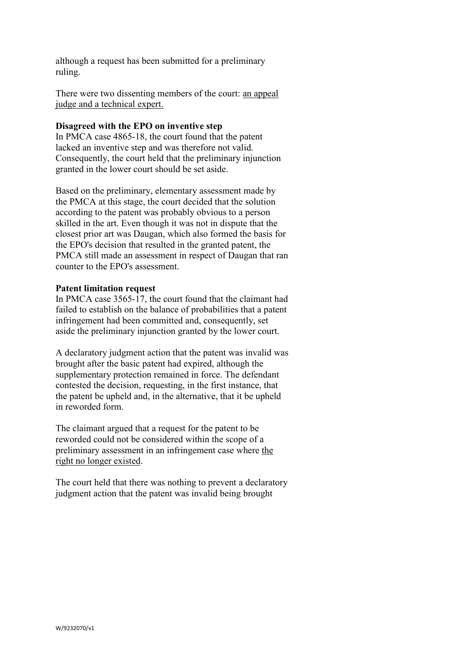although a request has been submitted for a preliminary ruling.

There were two dissenting members of the court: an appeal judge and a technical expert.

### **Disagreed with the EPO on inventive step**

In PMCA case 4865-18, the court found that the patent lacked an inventive step and was therefore not valid. Consequently, the court held that the preliminary injunction granted in the lower court should be set aside.

Based on the preliminary, elementary assessment made by the PMCA at this stage, the court decided that the solution according to the patent was probably obvious to a person skilled in the art. Even though it was not in dispute that the closest prior art was Daugan, which also formed the basis for the EPO's decision that resulted in the granted patent, the PMCA still made an assessment in respect of Daugan that ran counter to the EPO's assessment.

## **Patent limitation request**

In PMCA case 3565-17, the court found that the claimant had failed to establish on the balance of probabilities that a patent infringement had been committed and, consequently, set aside the preliminary injunction granted by the lower court.

A declaratory judgment action that the patent was invalid was brought after the basic patent had expired, although the supplementary protection remained in force. The defendant contested the decision, requesting, in the first instance, that the patent be upheld and, in the alternative, that it be upheld in reworded form.

The claimant argued that a request for the patent to be reworded could not be considered within the scope of a preliminary assessment in an infringement case where the right no longer existed.

The court held that there was nothing to prevent a declaratory judgment action that the patent was invalid being brought